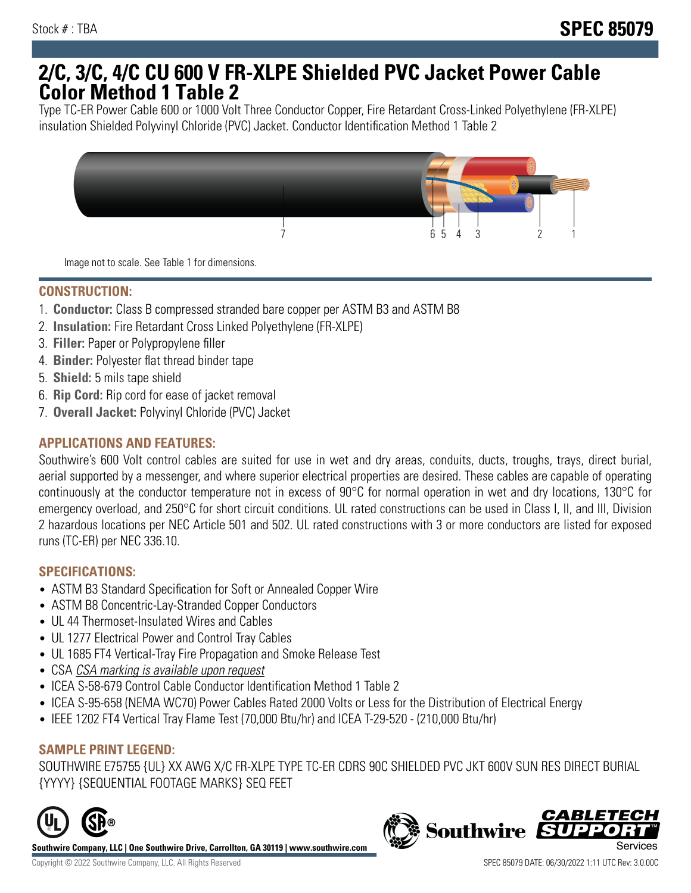## **2/C, 3/C, 4/C CU 600 V FR-XLPE Shielded PVC Jacket Power Cable Color Method 1 Table 2**

Type TC-ER Power Cable 600 or 1000 Volt Three Conductor Copper, Fire Retardant Cross-Linked Polyethylene (FR-XLPE) insulation Shielded Polyvinyl Chloride (PVC) Jacket. Conductor Identification Method 1 Table 2



Image not to scale. See Table 1 for dimensions.

## **CONSTRUCTION:**

- 1. **Conductor:** Class B compressed stranded bare copper per ASTM B3 and ASTM B8
- 2. **Insulation:** Fire Retardant Cross Linked Polyethylene (FR-XLPE)
- 3. **Filler:** Paper or Polypropylene filler
- 4. **Binder:** Polyester flat thread binder tape
- 5. **Shield:** 5 mils tape shield
- 6. **Rip Cord:** Rip cord for ease of jacket removal
- 7. **Overall Jacket:** Polyvinyl Chloride (PVC) Jacket

### **APPLICATIONS AND FEATURES:**

Southwire's 600 Volt control cables are suited for use in wet and dry areas, conduits, ducts, troughs, trays, direct burial, aerial supported by a messenger, and where superior electrical properties are desired. These cables are capable of operating continuously at the conductor temperature not in excess of 90°C for normal operation in wet and dry locations, 130°C for emergency overload, and 250°C for short circuit conditions. UL rated constructions can be used in Class I, II, and III, Division 2 hazardous locations per NEC Article 501 and 502. UL rated constructions with 3 or more conductors are listed for exposed runs (TC-ER) per NEC 336.10.

#### **SPECIFICATIONS:**

- ASTM B3 Standard Specification for Soft or Annealed Copper Wire
- ASTM B8 Concentric-Lay-Stranded Copper Conductors
- UL 44 Thermoset-Insulated Wires and Cables
- UL 1277 Electrical Power and Control Tray Cables
- UL 1685 FT4 Vertical-Tray Fire Propagation and Smoke Release Test
- CSA CSA marking is available upon request
- ICEA S-58-679 Control Cable Conductor Identification Method 1 Table 2
- ICEA S-95-658 (NEMA WC70) Power Cables Rated 2000 Volts or Less for the Distribution of Electrical Energy
- IEEE 1202 FT4 Vertical Tray Flame Test (70,000 Btu/hr) and ICEA T-29-520 (210,000 Btu/hr)

#### **SAMPLE PRINT LEGEND:**

SOUTHWIRE E75755 {UL} XX AWG X/C FR-XLPE TYPE TC-ER CDRS 90C SHIELDED PVC JKT 600V SUN RES DIRECT BURIAL {YYYY} {SEQUENTIAL FOOTAGE MARKS} SEQ FEET



**Southwire Company, LLC | One Southwire Drive, Carrollton, GA 30119 | www.southwire.com**